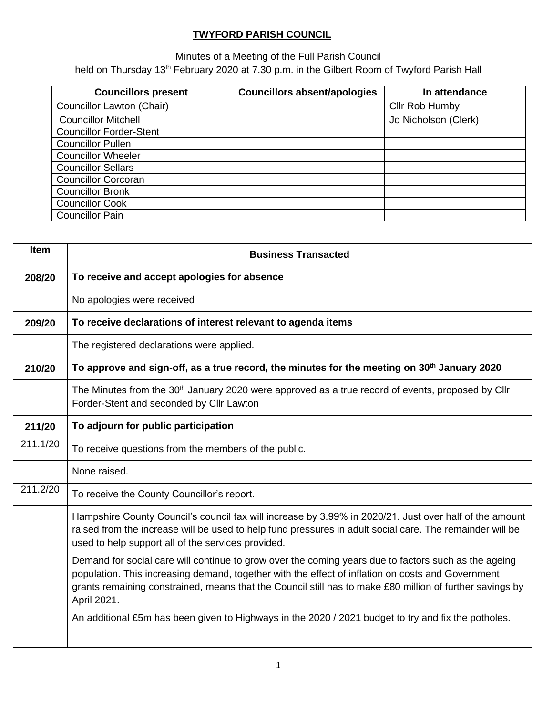## **TWYFORD PARISH COUNCIL**

Minutes of a Meeting of the Full Parish Council held on Thursday 13<sup>th</sup> February 2020 at 7.30 p.m. in the Gilbert Room of Twyford Parish Hall

| <b>Councillors present</b>     | <b>Councillors absent/apologies</b> | In attendance        |
|--------------------------------|-------------------------------------|----------------------|
| Councillor Lawton (Chair)      |                                     | Cllr Rob Humby       |
| <b>Councillor Mitchell</b>     |                                     | Jo Nicholson (Clerk) |
| <b>Councillor Forder-Stent</b> |                                     |                      |
| <b>Councillor Pullen</b>       |                                     |                      |
| <b>Councillor Wheeler</b>      |                                     |                      |
| <b>Councillor Sellars</b>      |                                     |                      |
| <b>Councillor Corcoran</b>     |                                     |                      |
| <b>Councillor Bronk</b>        |                                     |                      |
| <b>Councillor Cook</b>         |                                     |                      |
| <b>Councillor Pain</b>         |                                     |                      |

| Item     | <b>Business Transacted</b>                                                                                                                                                                                                                                                                                                           |
|----------|--------------------------------------------------------------------------------------------------------------------------------------------------------------------------------------------------------------------------------------------------------------------------------------------------------------------------------------|
| 208/20   | To receive and accept apologies for absence                                                                                                                                                                                                                                                                                          |
|          | No apologies were received                                                                                                                                                                                                                                                                                                           |
| 209/20   | To receive declarations of interest relevant to agenda items                                                                                                                                                                                                                                                                         |
|          | The registered declarations were applied.                                                                                                                                                                                                                                                                                            |
| 210/20   | To approve and sign-off, as a true record, the minutes for the meeting on 30 <sup>th</sup> January 2020                                                                                                                                                                                                                              |
|          | The Minutes from the 30 <sup>th</sup> January 2020 were approved as a true record of events, proposed by Cllr<br>Forder-Stent and seconded by Cllr Lawton                                                                                                                                                                            |
| 211/20   | To adjourn for public participation                                                                                                                                                                                                                                                                                                  |
| 211.1/20 | To receive questions from the members of the public.                                                                                                                                                                                                                                                                                 |
|          | None raised.                                                                                                                                                                                                                                                                                                                         |
| 211.2/20 | To receive the County Councillor's report.                                                                                                                                                                                                                                                                                           |
|          | Hampshire County Council's council tax will increase by 3.99% in 2020/21. Just over half of the amount<br>raised from the increase will be used to help fund pressures in adult social care. The remainder will be<br>used to help support all of the services provided.                                                             |
|          | Demand for social care will continue to grow over the coming years due to factors such as the ageing<br>population. This increasing demand, together with the effect of inflation on costs and Government<br>grants remaining constrained, means that the Council still has to make £80 million of further savings by<br>April 2021. |
|          | An additional £5m has been given to Highways in the 2020 / 2021 budget to try and fix the potholes.                                                                                                                                                                                                                                  |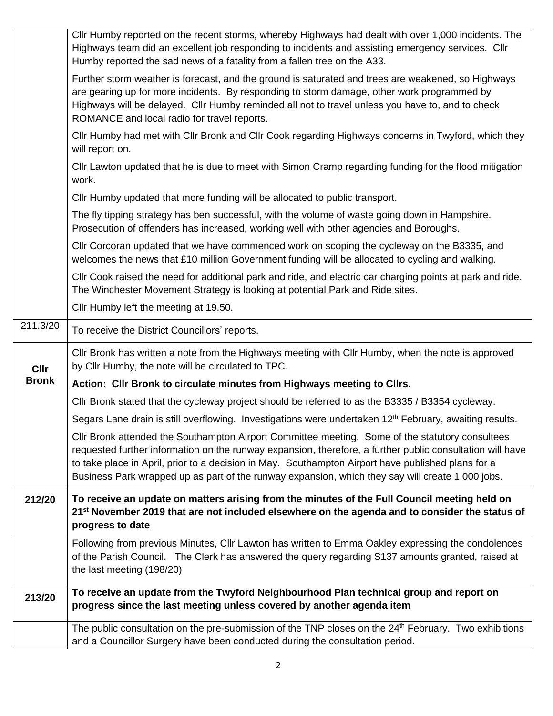|              | Cllr Humby reported on the recent storms, whereby Highways had dealt with over 1,000 incidents. The<br>Highways team did an excellent job responding to incidents and assisting emergency services. Cllr<br>Humby reported the sad news of a fatality from a fallen tree on the A33.                                                                                                                                   |  |  |  |  |  |  |
|--------------|------------------------------------------------------------------------------------------------------------------------------------------------------------------------------------------------------------------------------------------------------------------------------------------------------------------------------------------------------------------------------------------------------------------------|--|--|--|--|--|--|
|              | Further storm weather is forecast, and the ground is saturated and trees are weakened, so Highways<br>are gearing up for more incidents. By responding to storm damage, other work programmed by<br>Highways will be delayed. Cllr Humby reminded all not to travel unless you have to, and to check<br>ROMANCE and local radio for travel reports.                                                                    |  |  |  |  |  |  |
|              | CIIr Humby had met with CIIr Bronk and CIIr Cook regarding Highways concerns in Twyford, which they<br>will report on.                                                                                                                                                                                                                                                                                                 |  |  |  |  |  |  |
|              | CIIr Lawton updated that he is due to meet with Simon Cramp regarding funding for the flood mitigation<br>work.                                                                                                                                                                                                                                                                                                        |  |  |  |  |  |  |
|              | Cllr Humby updated that more funding will be allocated to public transport.                                                                                                                                                                                                                                                                                                                                            |  |  |  |  |  |  |
|              | The fly tipping strategy has ben successful, with the volume of waste going down in Hampshire.<br>Prosecution of offenders has increased, working well with other agencies and Boroughs.                                                                                                                                                                                                                               |  |  |  |  |  |  |
|              | Cllr Corcoran updated that we have commenced work on scoping the cycleway on the B3335, and<br>welcomes the news that £10 million Government funding will be allocated to cycling and walking.                                                                                                                                                                                                                         |  |  |  |  |  |  |
|              | CIIr Cook raised the need for additional park and ride, and electric car charging points at park and ride.<br>The Winchester Movement Strategy is looking at potential Park and Ride sites.                                                                                                                                                                                                                            |  |  |  |  |  |  |
|              | Cllr Humby left the meeting at 19.50.                                                                                                                                                                                                                                                                                                                                                                                  |  |  |  |  |  |  |
| 211.3/20     | To receive the District Councillors' reports.                                                                                                                                                                                                                                                                                                                                                                          |  |  |  |  |  |  |
| <b>Cllr</b>  | CIIr Bronk has written a note from the Highways meeting with CIIr Humby, when the note is approved<br>by Cllr Humby, the note will be circulated to TPC.                                                                                                                                                                                                                                                               |  |  |  |  |  |  |
| <b>Bronk</b> | Action: Cllr Bronk to circulate minutes from Highways meeting to Cllrs.                                                                                                                                                                                                                                                                                                                                                |  |  |  |  |  |  |
|              | Cllr Bronk stated that the cycleway project should be referred to as the B3335 / B3354 cycleway.                                                                                                                                                                                                                                                                                                                       |  |  |  |  |  |  |
|              | Segars Lane drain is still overflowing. Investigations were undertaken 12 <sup>th</sup> February, awaiting results.                                                                                                                                                                                                                                                                                                    |  |  |  |  |  |  |
|              | Cllr Bronk attended the Southampton Airport Committee meeting. Some of the statutory consultees<br>requested further information on the runway expansion, therefore, a further public consultation will have<br>to take place in April, prior to a decision in May. Southampton Airport have published plans for a<br>Business Park wrapped up as part of the runway expansion, which they say will create 1,000 jobs. |  |  |  |  |  |  |
| 212/20       | To receive an update on matters arising from the minutes of the Full Council meeting held on<br>21 <sup>st</sup> November 2019 that are not included elsewhere on the agenda and to consider the status of<br>progress to date                                                                                                                                                                                         |  |  |  |  |  |  |
|              | Following from previous Minutes, Cllr Lawton has written to Emma Oakley expressing the condolences<br>of the Parish Council. The Clerk has answered the query regarding S137 amounts granted, raised at<br>the last meeting (198/20)                                                                                                                                                                                   |  |  |  |  |  |  |
| 213/20       | To receive an update from the Twyford Neighbourhood Plan technical group and report on<br>progress since the last meeting unless covered by another agenda item                                                                                                                                                                                                                                                        |  |  |  |  |  |  |
|              | The public consultation on the pre-submission of the TNP closes on the 24 <sup>th</sup> February. Two exhibitions<br>and a Councillor Surgery have been conducted during the consultation period.                                                                                                                                                                                                                      |  |  |  |  |  |  |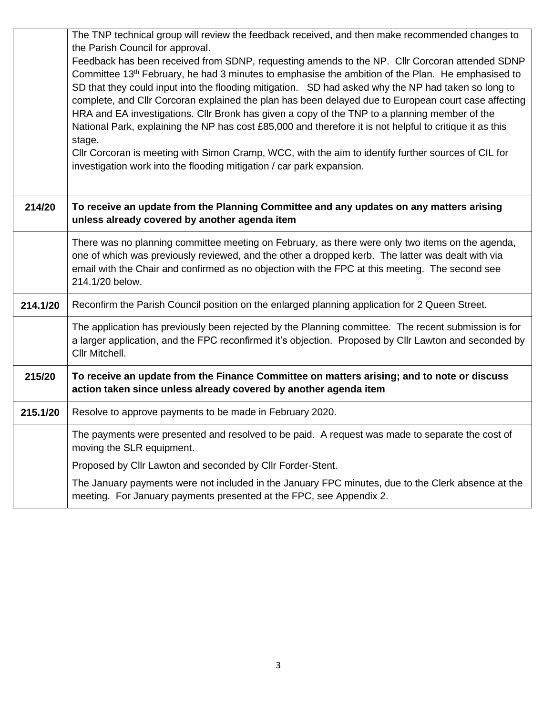|          | The TNP technical group will review the feedback received, and then make recommended changes to                                                                                                                                                                                                                                                                                                                                                                                                                                                                                                                                                                                                                                                                                                                                                                           |
|----------|---------------------------------------------------------------------------------------------------------------------------------------------------------------------------------------------------------------------------------------------------------------------------------------------------------------------------------------------------------------------------------------------------------------------------------------------------------------------------------------------------------------------------------------------------------------------------------------------------------------------------------------------------------------------------------------------------------------------------------------------------------------------------------------------------------------------------------------------------------------------------|
|          | the Parish Council for approval.<br>Feedback has been received from SDNP, requesting amends to the NP. Cllr Corcoran attended SDNP<br>Committee 13 <sup>th</sup> February, he had 3 minutes to emphasise the ambition of the Plan. He emphasised to<br>SD that they could input into the flooding mitigation. SD had asked why the NP had taken so long to<br>complete, and Cllr Corcoran explained the plan has been delayed due to European court case affecting<br>HRA and EA investigations. Cllr Bronk has given a copy of the TNP to a planning member of the<br>National Park, explaining the NP has cost £85,000 and therefore it is not helpful to critique it as this<br>stage.<br>CIIr Corcoran is meeting with Simon Cramp, WCC, with the aim to identify further sources of CIL for<br>investigation work into the flooding mitigation / car park expansion. |
| 214/20   | To receive an update from the Planning Committee and any updates on any matters arising<br>unless already covered by another agenda item                                                                                                                                                                                                                                                                                                                                                                                                                                                                                                                                                                                                                                                                                                                                  |
|          | There was no planning committee meeting on February, as there were only two items on the agenda,<br>one of which was previously reviewed, and the other a dropped kerb. The latter was dealt with via<br>email with the Chair and confirmed as no objection with the FPC at this meeting. The second see<br>214.1/20 below.                                                                                                                                                                                                                                                                                                                                                                                                                                                                                                                                               |
| 214.1/20 | Reconfirm the Parish Council position on the enlarged planning application for 2 Queen Street.                                                                                                                                                                                                                                                                                                                                                                                                                                                                                                                                                                                                                                                                                                                                                                            |
|          | The application has previously been rejected by the Planning committee. The recent submission is for<br>a larger application, and the FPC reconfirmed it's objection. Proposed by Cllr Lawton and seconded by<br>Cllr Mitchell.                                                                                                                                                                                                                                                                                                                                                                                                                                                                                                                                                                                                                                           |
| 215/20   | To receive an update from the Finance Committee on matters arising; and to note or discuss<br>action taken since unless already covered by another agenda item                                                                                                                                                                                                                                                                                                                                                                                                                                                                                                                                                                                                                                                                                                            |
| 215.1/20 | Resolve to approve payments to be made in February 2020.                                                                                                                                                                                                                                                                                                                                                                                                                                                                                                                                                                                                                                                                                                                                                                                                                  |
|          | The payments were presented and resolved to be paid. A request was made to separate the cost of<br>moving the SLR equipment.                                                                                                                                                                                                                                                                                                                                                                                                                                                                                                                                                                                                                                                                                                                                              |
|          | Proposed by Cllr Lawton and seconded by Cllr Forder-Stent.                                                                                                                                                                                                                                                                                                                                                                                                                                                                                                                                                                                                                                                                                                                                                                                                                |
|          | The January payments were not included in the January FPC minutes, due to the Clerk absence at the<br>meeting. For January payments presented at the FPC, see Appendix 2.                                                                                                                                                                                                                                                                                                                                                                                                                                                                                                                                                                                                                                                                                                 |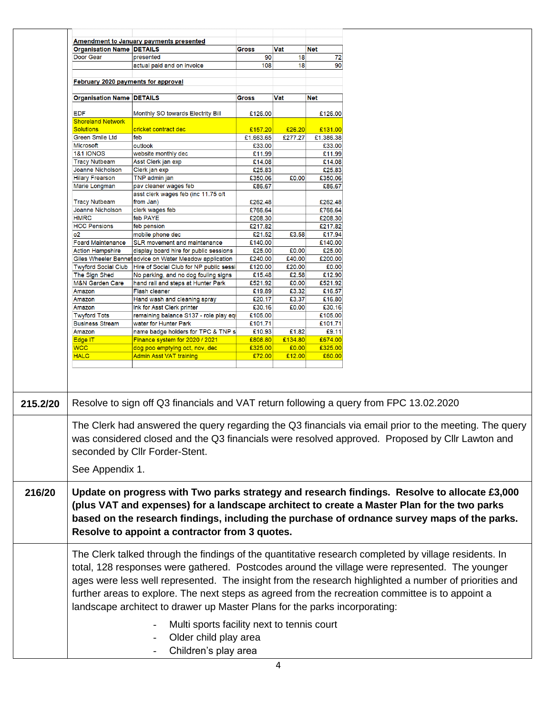| <b>Organisation Name DETAILS</b><br>Vat<br><b>Net</b><br><b>Gross</b><br>Door Gear<br>72<br>presented<br>90<br>18<br>18<br>90<br>108<br>actual paid and on invoice<br>February 2020 payments for approval<br><b>Organisation Name DETAILS</b><br>Vat<br><b>Net</b><br><b>Gross</b><br><b>EDF</b><br>Monthly SO towards Electrity Bill<br>£126.00<br>£126.00<br><b>Shoreland Network</b><br><b>Solutions</b><br>cricket contract dec<br>£157.20<br>£26.20<br>£131.00<br><b>Green Smile Ltd</b><br>feb<br>£1,663.65<br>£277.27<br>£1,386.38<br>Microsoft<br>outlook<br>£33.00<br>£33.00<br><b>1&amp;1 IONOS</b><br>website monthly dec<br>£11.99<br>£11.99<br><b>Tracy Nutbeam</b><br>Asst Clerk jan exp<br>£14.08<br>£14.08<br>£25.83<br>£25.83<br><b>Joanne Nicholson</b><br>Clerk jan exp<br><b>Hilary Frearson</b><br>TNP admin jan<br>£350.06<br>£350.06<br>£0.00<br>pav cleaner wages feb<br>£86.67<br>£86.67<br>Marie Longman<br>asst clerk wages feb (inc 11.75 o/t<br><b>Tracy Nutbeam</b><br>from Jan)<br>£262.48<br>£262.48<br>Joanne Nicholson<br>clerk wages feb<br>£766.64<br>£766.64<br><b>HMRC</b><br>feb PAYE<br>£208.30<br>£208.30<br><b>HCC Pensions</b><br>£217.82<br>feb pension<br>£217.82<br>£21.52<br>£17.94<br>0 <sup>2</sup><br>£3.58<br>mobile phone dec<br>£140.00<br><b>Foard Maintenance</b><br>£140.00<br><b>SLR</b> movement and maintenance<br>£25.00<br>£25.00<br><b>Action Hampshire</b><br>£0.00<br>display board hire for public sessions<br>£240.00<br>£40.00<br>£200.00<br>Giles Wheeler Bennet advice on Water Meadow application<br>£120.00<br>£20.00<br>£0.00<br><b>Twyford Social Club</b><br>Hire of Social Club for NP public sessi<br>The Sign Shed<br>£15.48<br>£2.58<br>£12.90<br>No parking, and no dog fouling signs<br>£521.92<br>£521.92<br>M&N Garden Care<br>hand rail and steps at Hunter Park<br>£0.00<br>£16.57<br>£19.89<br>£3.32<br>Amazon<br><b>Flash cleaner</b><br>£20.17<br>£3.37<br>£16.80<br>Hand wash and cleaning spray<br>Amazon<br>£30.16<br>£0.00<br>£30.16<br>Ink for Asst Clerk printer<br>Amazon<br><b>Twyford Tots</b><br>£105.00<br>£105.00<br>remaining balance S137 - role play eql<br><b>Business Stream</b><br>£101.71<br>£101.71<br>water for Hunter Park<br>name badge holders for TPC & TNP s<br>£10.93<br>£1.82<br>£9.11<br>Amazon<br>Edge IT<br>Finance system for 2020 / 2021<br>£808.80<br>£134.80<br>£674.00<br><b>WCC</b><br>£325.00<br>£0.00<br>£325.00<br>dog poo emptying oct, nov, dec<br><b>HALC</b><br>£60.00<br>Admin Asst VAT training<br>£72.00<br>£12.00<br>Resolve to sign off Q3 financials and VAT return following a query from FPC 13.02.2020<br>215.2/20<br>The Clerk had answered the query regarding the Q3 financials via email prior to the meeting. The query<br>was considered closed and the Q3 financials were resolved approved. Proposed by Cllr Lawton and<br>seconded by Cllr Forder-Stent.<br>See Appendix 1.<br>Update on progress with Two parks strategy and research findings. Resolve to allocate £3,000<br>216/20<br>(plus VAT and expenses) for a landscape architect to create a Master Plan for the two parks<br>based on the research findings, including the purchase of ordnance survey maps of the parks.<br>Resolve to appoint a contractor from 3 quotes.<br>The Clerk talked through the findings of the quantitative research completed by village residents. In<br>total, 128 responses were gathered. Postcodes around the village were represented. The younger<br>ages were less well represented. The insight from the research highlighted a number of priorities and<br>further areas to explore. The next steps as agreed from the recreation committee is to appoint a<br>landscape architect to drawer up Master Plans for the parks incorporating:<br>Multi sports facility next to tennis court<br>Older child play area |  | <b>Amendment to January payments presented</b> |  |  |  |  |  |
|--------------------------------------------------------------------------------------------------------------------------------------------------------------------------------------------------------------------------------------------------------------------------------------------------------------------------------------------------------------------------------------------------------------------------------------------------------------------------------------------------------------------------------------------------------------------------------------------------------------------------------------------------------------------------------------------------------------------------------------------------------------------------------------------------------------------------------------------------------------------------------------------------------------------------------------------------------------------------------------------------------------------------------------------------------------------------------------------------------------------------------------------------------------------------------------------------------------------------------------------------------------------------------------------------------------------------------------------------------------------------------------------------------------------------------------------------------------------------------------------------------------------------------------------------------------------------------------------------------------------------------------------------------------------------------------------------------------------------------------------------------------------------------------------------------------------------------------------------------------------------------------------------------------------------------------------------------------------------------------------------------------------------------------------------------------------------------------------------------------------------------------------------------------------------------------------------------------------------------------------------------------------------------------------------------------------------------------------------------------------------------------------------------------------------------------------------------------------------------------------------------------------------------------------------------------------------------------------------------------------------------------------------------------------------------------------------------------------------------------------------------------------------------------------------------------------------------------------------------------------------------------------------------------------------------------------------------------------------------------------------------------------------------------------------------------------------------------------------------------------------------------------------------------------------------------------------------------------------------------------------------------------------------------------------------------------------------------------------------------------------------------------------------------------------------------------------------------------------------------------------------------------------------------------------------------------------------------------------------------------------------------------------------------------------------------------------------------------------------------------------------------------------------------------------------------------------------------------------------------------------|--|------------------------------------------------|--|--|--|--|--|
|                                                                                                                                                                                                                                                                                                                                                                                                                                                                                                                                                                                                                                                                                                                                                                                                                                                                                                                                                                                                                                                                                                                                                                                                                                                                                                                                                                                                                                                                                                                                                                                                                                                                                                                                                                                                                                                                                                                                                                                                                                                                                                                                                                                                                                                                                                                                                                                                                                                                                                                                                                                                                                                                                                                                                                                                                                                                                                                                                                                                                                                                                                                                                                                                                                                                                                                                                                                                                                                                                                                                                                                                                                                                                                                                                                                                                                                                          |  |                                                |  |  |  |  |  |
|                                                                                                                                                                                                                                                                                                                                                                                                                                                                                                                                                                                                                                                                                                                                                                                                                                                                                                                                                                                                                                                                                                                                                                                                                                                                                                                                                                                                                                                                                                                                                                                                                                                                                                                                                                                                                                                                                                                                                                                                                                                                                                                                                                                                                                                                                                                                                                                                                                                                                                                                                                                                                                                                                                                                                                                                                                                                                                                                                                                                                                                                                                                                                                                                                                                                                                                                                                                                                                                                                                                                                                                                                                                                                                                                                                                                                                                                          |  |                                                |  |  |  |  |  |
|                                                                                                                                                                                                                                                                                                                                                                                                                                                                                                                                                                                                                                                                                                                                                                                                                                                                                                                                                                                                                                                                                                                                                                                                                                                                                                                                                                                                                                                                                                                                                                                                                                                                                                                                                                                                                                                                                                                                                                                                                                                                                                                                                                                                                                                                                                                                                                                                                                                                                                                                                                                                                                                                                                                                                                                                                                                                                                                                                                                                                                                                                                                                                                                                                                                                                                                                                                                                                                                                                                                                                                                                                                                                                                                                                                                                                                                                          |  |                                                |  |  |  |  |  |
|                                                                                                                                                                                                                                                                                                                                                                                                                                                                                                                                                                                                                                                                                                                                                                                                                                                                                                                                                                                                                                                                                                                                                                                                                                                                                                                                                                                                                                                                                                                                                                                                                                                                                                                                                                                                                                                                                                                                                                                                                                                                                                                                                                                                                                                                                                                                                                                                                                                                                                                                                                                                                                                                                                                                                                                                                                                                                                                                                                                                                                                                                                                                                                                                                                                                                                                                                                                                                                                                                                                                                                                                                                                                                                                                                                                                                                                                          |  |                                                |  |  |  |  |  |
|                                                                                                                                                                                                                                                                                                                                                                                                                                                                                                                                                                                                                                                                                                                                                                                                                                                                                                                                                                                                                                                                                                                                                                                                                                                                                                                                                                                                                                                                                                                                                                                                                                                                                                                                                                                                                                                                                                                                                                                                                                                                                                                                                                                                                                                                                                                                                                                                                                                                                                                                                                                                                                                                                                                                                                                                                                                                                                                                                                                                                                                                                                                                                                                                                                                                                                                                                                                                                                                                                                                                                                                                                                                                                                                                                                                                                                                                          |  |                                                |  |  |  |  |  |
|                                                                                                                                                                                                                                                                                                                                                                                                                                                                                                                                                                                                                                                                                                                                                                                                                                                                                                                                                                                                                                                                                                                                                                                                                                                                                                                                                                                                                                                                                                                                                                                                                                                                                                                                                                                                                                                                                                                                                                                                                                                                                                                                                                                                                                                                                                                                                                                                                                                                                                                                                                                                                                                                                                                                                                                                                                                                                                                                                                                                                                                                                                                                                                                                                                                                                                                                                                                                                                                                                                                                                                                                                                                                                                                                                                                                                                                                          |  |                                                |  |  |  |  |  |
|                                                                                                                                                                                                                                                                                                                                                                                                                                                                                                                                                                                                                                                                                                                                                                                                                                                                                                                                                                                                                                                                                                                                                                                                                                                                                                                                                                                                                                                                                                                                                                                                                                                                                                                                                                                                                                                                                                                                                                                                                                                                                                                                                                                                                                                                                                                                                                                                                                                                                                                                                                                                                                                                                                                                                                                                                                                                                                                                                                                                                                                                                                                                                                                                                                                                                                                                                                                                                                                                                                                                                                                                                                                                                                                                                                                                                                                                          |  |                                                |  |  |  |  |  |
|                                                                                                                                                                                                                                                                                                                                                                                                                                                                                                                                                                                                                                                                                                                                                                                                                                                                                                                                                                                                                                                                                                                                                                                                                                                                                                                                                                                                                                                                                                                                                                                                                                                                                                                                                                                                                                                                                                                                                                                                                                                                                                                                                                                                                                                                                                                                                                                                                                                                                                                                                                                                                                                                                                                                                                                                                                                                                                                                                                                                                                                                                                                                                                                                                                                                                                                                                                                                                                                                                                                                                                                                                                                                                                                                                                                                                                                                          |  |                                                |  |  |  |  |  |
|                                                                                                                                                                                                                                                                                                                                                                                                                                                                                                                                                                                                                                                                                                                                                                                                                                                                                                                                                                                                                                                                                                                                                                                                                                                                                                                                                                                                                                                                                                                                                                                                                                                                                                                                                                                                                                                                                                                                                                                                                                                                                                                                                                                                                                                                                                                                                                                                                                                                                                                                                                                                                                                                                                                                                                                                                                                                                                                                                                                                                                                                                                                                                                                                                                                                                                                                                                                                                                                                                                                                                                                                                                                                                                                                                                                                                                                                          |  |                                                |  |  |  |  |  |
|                                                                                                                                                                                                                                                                                                                                                                                                                                                                                                                                                                                                                                                                                                                                                                                                                                                                                                                                                                                                                                                                                                                                                                                                                                                                                                                                                                                                                                                                                                                                                                                                                                                                                                                                                                                                                                                                                                                                                                                                                                                                                                                                                                                                                                                                                                                                                                                                                                                                                                                                                                                                                                                                                                                                                                                                                                                                                                                                                                                                                                                                                                                                                                                                                                                                                                                                                                                                                                                                                                                                                                                                                                                                                                                                                                                                                                                                          |  |                                                |  |  |  |  |  |
|                                                                                                                                                                                                                                                                                                                                                                                                                                                                                                                                                                                                                                                                                                                                                                                                                                                                                                                                                                                                                                                                                                                                                                                                                                                                                                                                                                                                                                                                                                                                                                                                                                                                                                                                                                                                                                                                                                                                                                                                                                                                                                                                                                                                                                                                                                                                                                                                                                                                                                                                                                                                                                                                                                                                                                                                                                                                                                                                                                                                                                                                                                                                                                                                                                                                                                                                                                                                                                                                                                                                                                                                                                                                                                                                                                                                                                                                          |  |                                                |  |  |  |  |  |
|                                                                                                                                                                                                                                                                                                                                                                                                                                                                                                                                                                                                                                                                                                                                                                                                                                                                                                                                                                                                                                                                                                                                                                                                                                                                                                                                                                                                                                                                                                                                                                                                                                                                                                                                                                                                                                                                                                                                                                                                                                                                                                                                                                                                                                                                                                                                                                                                                                                                                                                                                                                                                                                                                                                                                                                                                                                                                                                                                                                                                                                                                                                                                                                                                                                                                                                                                                                                                                                                                                                                                                                                                                                                                                                                                                                                                                                                          |  |                                                |  |  |  |  |  |
|                                                                                                                                                                                                                                                                                                                                                                                                                                                                                                                                                                                                                                                                                                                                                                                                                                                                                                                                                                                                                                                                                                                                                                                                                                                                                                                                                                                                                                                                                                                                                                                                                                                                                                                                                                                                                                                                                                                                                                                                                                                                                                                                                                                                                                                                                                                                                                                                                                                                                                                                                                                                                                                                                                                                                                                                                                                                                                                                                                                                                                                                                                                                                                                                                                                                                                                                                                                                                                                                                                                                                                                                                                                                                                                                                                                                                                                                          |  |                                                |  |  |  |  |  |
|                                                                                                                                                                                                                                                                                                                                                                                                                                                                                                                                                                                                                                                                                                                                                                                                                                                                                                                                                                                                                                                                                                                                                                                                                                                                                                                                                                                                                                                                                                                                                                                                                                                                                                                                                                                                                                                                                                                                                                                                                                                                                                                                                                                                                                                                                                                                                                                                                                                                                                                                                                                                                                                                                                                                                                                                                                                                                                                                                                                                                                                                                                                                                                                                                                                                                                                                                                                                                                                                                                                                                                                                                                                                                                                                                                                                                                                                          |  |                                                |  |  |  |  |  |
|                                                                                                                                                                                                                                                                                                                                                                                                                                                                                                                                                                                                                                                                                                                                                                                                                                                                                                                                                                                                                                                                                                                                                                                                                                                                                                                                                                                                                                                                                                                                                                                                                                                                                                                                                                                                                                                                                                                                                                                                                                                                                                                                                                                                                                                                                                                                                                                                                                                                                                                                                                                                                                                                                                                                                                                                                                                                                                                                                                                                                                                                                                                                                                                                                                                                                                                                                                                                                                                                                                                                                                                                                                                                                                                                                                                                                                                                          |  |                                                |  |  |  |  |  |
|                                                                                                                                                                                                                                                                                                                                                                                                                                                                                                                                                                                                                                                                                                                                                                                                                                                                                                                                                                                                                                                                                                                                                                                                                                                                                                                                                                                                                                                                                                                                                                                                                                                                                                                                                                                                                                                                                                                                                                                                                                                                                                                                                                                                                                                                                                                                                                                                                                                                                                                                                                                                                                                                                                                                                                                                                                                                                                                                                                                                                                                                                                                                                                                                                                                                                                                                                                                                                                                                                                                                                                                                                                                                                                                                                                                                                                                                          |  |                                                |  |  |  |  |  |
|                                                                                                                                                                                                                                                                                                                                                                                                                                                                                                                                                                                                                                                                                                                                                                                                                                                                                                                                                                                                                                                                                                                                                                                                                                                                                                                                                                                                                                                                                                                                                                                                                                                                                                                                                                                                                                                                                                                                                                                                                                                                                                                                                                                                                                                                                                                                                                                                                                                                                                                                                                                                                                                                                                                                                                                                                                                                                                                                                                                                                                                                                                                                                                                                                                                                                                                                                                                                                                                                                                                                                                                                                                                                                                                                                                                                                                                                          |  |                                                |  |  |  |  |  |
|                                                                                                                                                                                                                                                                                                                                                                                                                                                                                                                                                                                                                                                                                                                                                                                                                                                                                                                                                                                                                                                                                                                                                                                                                                                                                                                                                                                                                                                                                                                                                                                                                                                                                                                                                                                                                                                                                                                                                                                                                                                                                                                                                                                                                                                                                                                                                                                                                                                                                                                                                                                                                                                                                                                                                                                                                                                                                                                                                                                                                                                                                                                                                                                                                                                                                                                                                                                                                                                                                                                                                                                                                                                                                                                                                                                                                                                                          |  |                                                |  |  |  |  |  |
|                                                                                                                                                                                                                                                                                                                                                                                                                                                                                                                                                                                                                                                                                                                                                                                                                                                                                                                                                                                                                                                                                                                                                                                                                                                                                                                                                                                                                                                                                                                                                                                                                                                                                                                                                                                                                                                                                                                                                                                                                                                                                                                                                                                                                                                                                                                                                                                                                                                                                                                                                                                                                                                                                                                                                                                                                                                                                                                                                                                                                                                                                                                                                                                                                                                                                                                                                                                                                                                                                                                                                                                                                                                                                                                                                                                                                                                                          |  |                                                |  |  |  |  |  |
|                                                                                                                                                                                                                                                                                                                                                                                                                                                                                                                                                                                                                                                                                                                                                                                                                                                                                                                                                                                                                                                                                                                                                                                                                                                                                                                                                                                                                                                                                                                                                                                                                                                                                                                                                                                                                                                                                                                                                                                                                                                                                                                                                                                                                                                                                                                                                                                                                                                                                                                                                                                                                                                                                                                                                                                                                                                                                                                                                                                                                                                                                                                                                                                                                                                                                                                                                                                                                                                                                                                                                                                                                                                                                                                                                                                                                                                                          |  |                                                |  |  |  |  |  |
|                                                                                                                                                                                                                                                                                                                                                                                                                                                                                                                                                                                                                                                                                                                                                                                                                                                                                                                                                                                                                                                                                                                                                                                                                                                                                                                                                                                                                                                                                                                                                                                                                                                                                                                                                                                                                                                                                                                                                                                                                                                                                                                                                                                                                                                                                                                                                                                                                                                                                                                                                                                                                                                                                                                                                                                                                                                                                                                                                                                                                                                                                                                                                                                                                                                                                                                                                                                                                                                                                                                                                                                                                                                                                                                                                                                                                                                                          |  |                                                |  |  |  |  |  |
|                                                                                                                                                                                                                                                                                                                                                                                                                                                                                                                                                                                                                                                                                                                                                                                                                                                                                                                                                                                                                                                                                                                                                                                                                                                                                                                                                                                                                                                                                                                                                                                                                                                                                                                                                                                                                                                                                                                                                                                                                                                                                                                                                                                                                                                                                                                                                                                                                                                                                                                                                                                                                                                                                                                                                                                                                                                                                                                                                                                                                                                                                                                                                                                                                                                                                                                                                                                                                                                                                                                                                                                                                                                                                                                                                                                                                                                                          |  |                                                |  |  |  |  |  |
|                                                                                                                                                                                                                                                                                                                                                                                                                                                                                                                                                                                                                                                                                                                                                                                                                                                                                                                                                                                                                                                                                                                                                                                                                                                                                                                                                                                                                                                                                                                                                                                                                                                                                                                                                                                                                                                                                                                                                                                                                                                                                                                                                                                                                                                                                                                                                                                                                                                                                                                                                                                                                                                                                                                                                                                                                                                                                                                                                                                                                                                                                                                                                                                                                                                                                                                                                                                                                                                                                                                                                                                                                                                                                                                                                                                                                                                                          |  |                                                |  |  |  |  |  |
|                                                                                                                                                                                                                                                                                                                                                                                                                                                                                                                                                                                                                                                                                                                                                                                                                                                                                                                                                                                                                                                                                                                                                                                                                                                                                                                                                                                                                                                                                                                                                                                                                                                                                                                                                                                                                                                                                                                                                                                                                                                                                                                                                                                                                                                                                                                                                                                                                                                                                                                                                                                                                                                                                                                                                                                                                                                                                                                                                                                                                                                                                                                                                                                                                                                                                                                                                                                                                                                                                                                                                                                                                                                                                                                                                                                                                                                                          |  |                                                |  |  |  |  |  |
|                                                                                                                                                                                                                                                                                                                                                                                                                                                                                                                                                                                                                                                                                                                                                                                                                                                                                                                                                                                                                                                                                                                                                                                                                                                                                                                                                                                                                                                                                                                                                                                                                                                                                                                                                                                                                                                                                                                                                                                                                                                                                                                                                                                                                                                                                                                                                                                                                                                                                                                                                                                                                                                                                                                                                                                                                                                                                                                                                                                                                                                                                                                                                                                                                                                                                                                                                                                                                                                                                                                                                                                                                                                                                                                                                                                                                                                                          |  |                                                |  |  |  |  |  |
|                                                                                                                                                                                                                                                                                                                                                                                                                                                                                                                                                                                                                                                                                                                                                                                                                                                                                                                                                                                                                                                                                                                                                                                                                                                                                                                                                                                                                                                                                                                                                                                                                                                                                                                                                                                                                                                                                                                                                                                                                                                                                                                                                                                                                                                                                                                                                                                                                                                                                                                                                                                                                                                                                                                                                                                                                                                                                                                                                                                                                                                                                                                                                                                                                                                                                                                                                                                                                                                                                                                                                                                                                                                                                                                                                                                                                                                                          |  |                                                |  |  |  |  |  |
|                                                                                                                                                                                                                                                                                                                                                                                                                                                                                                                                                                                                                                                                                                                                                                                                                                                                                                                                                                                                                                                                                                                                                                                                                                                                                                                                                                                                                                                                                                                                                                                                                                                                                                                                                                                                                                                                                                                                                                                                                                                                                                                                                                                                                                                                                                                                                                                                                                                                                                                                                                                                                                                                                                                                                                                                                                                                                                                                                                                                                                                                                                                                                                                                                                                                                                                                                                                                                                                                                                                                                                                                                                                                                                                                                                                                                                                                          |  |                                                |  |  |  |  |  |
|                                                                                                                                                                                                                                                                                                                                                                                                                                                                                                                                                                                                                                                                                                                                                                                                                                                                                                                                                                                                                                                                                                                                                                                                                                                                                                                                                                                                                                                                                                                                                                                                                                                                                                                                                                                                                                                                                                                                                                                                                                                                                                                                                                                                                                                                                                                                                                                                                                                                                                                                                                                                                                                                                                                                                                                                                                                                                                                                                                                                                                                                                                                                                                                                                                                                                                                                                                                                                                                                                                                                                                                                                                                                                                                                                                                                                                                                          |  |                                                |  |  |  |  |  |
|                                                                                                                                                                                                                                                                                                                                                                                                                                                                                                                                                                                                                                                                                                                                                                                                                                                                                                                                                                                                                                                                                                                                                                                                                                                                                                                                                                                                                                                                                                                                                                                                                                                                                                                                                                                                                                                                                                                                                                                                                                                                                                                                                                                                                                                                                                                                                                                                                                                                                                                                                                                                                                                                                                                                                                                                                                                                                                                                                                                                                                                                                                                                                                                                                                                                                                                                                                                                                                                                                                                                                                                                                                                                                                                                                                                                                                                                          |  |                                                |  |  |  |  |  |
|                                                                                                                                                                                                                                                                                                                                                                                                                                                                                                                                                                                                                                                                                                                                                                                                                                                                                                                                                                                                                                                                                                                                                                                                                                                                                                                                                                                                                                                                                                                                                                                                                                                                                                                                                                                                                                                                                                                                                                                                                                                                                                                                                                                                                                                                                                                                                                                                                                                                                                                                                                                                                                                                                                                                                                                                                                                                                                                                                                                                                                                                                                                                                                                                                                                                                                                                                                                                                                                                                                                                                                                                                                                                                                                                                                                                                                                                          |  |                                                |  |  |  |  |  |
|                                                                                                                                                                                                                                                                                                                                                                                                                                                                                                                                                                                                                                                                                                                                                                                                                                                                                                                                                                                                                                                                                                                                                                                                                                                                                                                                                                                                                                                                                                                                                                                                                                                                                                                                                                                                                                                                                                                                                                                                                                                                                                                                                                                                                                                                                                                                                                                                                                                                                                                                                                                                                                                                                                                                                                                                                                                                                                                                                                                                                                                                                                                                                                                                                                                                                                                                                                                                                                                                                                                                                                                                                                                                                                                                                                                                                                                                          |  |                                                |  |  |  |  |  |
|                                                                                                                                                                                                                                                                                                                                                                                                                                                                                                                                                                                                                                                                                                                                                                                                                                                                                                                                                                                                                                                                                                                                                                                                                                                                                                                                                                                                                                                                                                                                                                                                                                                                                                                                                                                                                                                                                                                                                                                                                                                                                                                                                                                                                                                                                                                                                                                                                                                                                                                                                                                                                                                                                                                                                                                                                                                                                                                                                                                                                                                                                                                                                                                                                                                                                                                                                                                                                                                                                                                                                                                                                                                                                                                                                                                                                                                                          |  |                                                |  |  |  |  |  |
|                                                                                                                                                                                                                                                                                                                                                                                                                                                                                                                                                                                                                                                                                                                                                                                                                                                                                                                                                                                                                                                                                                                                                                                                                                                                                                                                                                                                                                                                                                                                                                                                                                                                                                                                                                                                                                                                                                                                                                                                                                                                                                                                                                                                                                                                                                                                                                                                                                                                                                                                                                                                                                                                                                                                                                                                                                                                                                                                                                                                                                                                                                                                                                                                                                                                                                                                                                                                                                                                                                                                                                                                                                                                                                                                                                                                                                                                          |  |                                                |  |  |  |  |  |
|                                                                                                                                                                                                                                                                                                                                                                                                                                                                                                                                                                                                                                                                                                                                                                                                                                                                                                                                                                                                                                                                                                                                                                                                                                                                                                                                                                                                                                                                                                                                                                                                                                                                                                                                                                                                                                                                                                                                                                                                                                                                                                                                                                                                                                                                                                                                                                                                                                                                                                                                                                                                                                                                                                                                                                                                                                                                                                                                                                                                                                                                                                                                                                                                                                                                                                                                                                                                                                                                                                                                                                                                                                                                                                                                                                                                                                                                          |  |                                                |  |  |  |  |  |
|                                                                                                                                                                                                                                                                                                                                                                                                                                                                                                                                                                                                                                                                                                                                                                                                                                                                                                                                                                                                                                                                                                                                                                                                                                                                                                                                                                                                                                                                                                                                                                                                                                                                                                                                                                                                                                                                                                                                                                                                                                                                                                                                                                                                                                                                                                                                                                                                                                                                                                                                                                                                                                                                                                                                                                                                                                                                                                                                                                                                                                                                                                                                                                                                                                                                                                                                                                                                                                                                                                                                                                                                                                                                                                                                                                                                                                                                          |  |                                                |  |  |  |  |  |
|                                                                                                                                                                                                                                                                                                                                                                                                                                                                                                                                                                                                                                                                                                                                                                                                                                                                                                                                                                                                                                                                                                                                                                                                                                                                                                                                                                                                                                                                                                                                                                                                                                                                                                                                                                                                                                                                                                                                                                                                                                                                                                                                                                                                                                                                                                                                                                                                                                                                                                                                                                                                                                                                                                                                                                                                                                                                                                                                                                                                                                                                                                                                                                                                                                                                                                                                                                                                                                                                                                                                                                                                                                                                                                                                                                                                                                                                          |  |                                                |  |  |  |  |  |
|                                                                                                                                                                                                                                                                                                                                                                                                                                                                                                                                                                                                                                                                                                                                                                                                                                                                                                                                                                                                                                                                                                                                                                                                                                                                                                                                                                                                                                                                                                                                                                                                                                                                                                                                                                                                                                                                                                                                                                                                                                                                                                                                                                                                                                                                                                                                                                                                                                                                                                                                                                                                                                                                                                                                                                                                                                                                                                                                                                                                                                                                                                                                                                                                                                                                                                                                                                                                                                                                                                                                                                                                                                                                                                                                                                                                                                                                          |  |                                                |  |  |  |  |  |
|                                                                                                                                                                                                                                                                                                                                                                                                                                                                                                                                                                                                                                                                                                                                                                                                                                                                                                                                                                                                                                                                                                                                                                                                                                                                                                                                                                                                                                                                                                                                                                                                                                                                                                                                                                                                                                                                                                                                                                                                                                                                                                                                                                                                                                                                                                                                                                                                                                                                                                                                                                                                                                                                                                                                                                                                                                                                                                                                                                                                                                                                                                                                                                                                                                                                                                                                                                                                                                                                                                                                                                                                                                                                                                                                                                                                                                                                          |  |                                                |  |  |  |  |  |
|                                                                                                                                                                                                                                                                                                                                                                                                                                                                                                                                                                                                                                                                                                                                                                                                                                                                                                                                                                                                                                                                                                                                                                                                                                                                                                                                                                                                                                                                                                                                                                                                                                                                                                                                                                                                                                                                                                                                                                                                                                                                                                                                                                                                                                                                                                                                                                                                                                                                                                                                                                                                                                                                                                                                                                                                                                                                                                                                                                                                                                                                                                                                                                                                                                                                                                                                                                                                                                                                                                                                                                                                                                                                                                                                                                                                                                                                          |  |                                                |  |  |  |  |  |
|                                                                                                                                                                                                                                                                                                                                                                                                                                                                                                                                                                                                                                                                                                                                                                                                                                                                                                                                                                                                                                                                                                                                                                                                                                                                                                                                                                                                                                                                                                                                                                                                                                                                                                                                                                                                                                                                                                                                                                                                                                                                                                                                                                                                                                                                                                                                                                                                                                                                                                                                                                                                                                                                                                                                                                                                                                                                                                                                                                                                                                                                                                                                                                                                                                                                                                                                                                                                                                                                                                                                                                                                                                                                                                                                                                                                                                                                          |  |                                                |  |  |  |  |  |
|                                                                                                                                                                                                                                                                                                                                                                                                                                                                                                                                                                                                                                                                                                                                                                                                                                                                                                                                                                                                                                                                                                                                                                                                                                                                                                                                                                                                                                                                                                                                                                                                                                                                                                                                                                                                                                                                                                                                                                                                                                                                                                                                                                                                                                                                                                                                                                                                                                                                                                                                                                                                                                                                                                                                                                                                                                                                                                                                                                                                                                                                                                                                                                                                                                                                                                                                                                                                                                                                                                                                                                                                                                                                                                                                                                                                                                                                          |  |                                                |  |  |  |  |  |
|                                                                                                                                                                                                                                                                                                                                                                                                                                                                                                                                                                                                                                                                                                                                                                                                                                                                                                                                                                                                                                                                                                                                                                                                                                                                                                                                                                                                                                                                                                                                                                                                                                                                                                                                                                                                                                                                                                                                                                                                                                                                                                                                                                                                                                                                                                                                                                                                                                                                                                                                                                                                                                                                                                                                                                                                                                                                                                                                                                                                                                                                                                                                                                                                                                                                                                                                                                                                                                                                                                                                                                                                                                                                                                                                                                                                                                                                          |  |                                                |  |  |  |  |  |
|                                                                                                                                                                                                                                                                                                                                                                                                                                                                                                                                                                                                                                                                                                                                                                                                                                                                                                                                                                                                                                                                                                                                                                                                                                                                                                                                                                                                                                                                                                                                                                                                                                                                                                                                                                                                                                                                                                                                                                                                                                                                                                                                                                                                                                                                                                                                                                                                                                                                                                                                                                                                                                                                                                                                                                                                                                                                                                                                                                                                                                                                                                                                                                                                                                                                                                                                                                                                                                                                                                                                                                                                                                                                                                                                                                                                                                                                          |  |                                                |  |  |  |  |  |
|                                                                                                                                                                                                                                                                                                                                                                                                                                                                                                                                                                                                                                                                                                                                                                                                                                                                                                                                                                                                                                                                                                                                                                                                                                                                                                                                                                                                                                                                                                                                                                                                                                                                                                                                                                                                                                                                                                                                                                                                                                                                                                                                                                                                                                                                                                                                                                                                                                                                                                                                                                                                                                                                                                                                                                                                                                                                                                                                                                                                                                                                                                                                                                                                                                                                                                                                                                                                                                                                                                                                                                                                                                                                                                                                                                                                                                                                          |  |                                                |  |  |  |  |  |
|                                                                                                                                                                                                                                                                                                                                                                                                                                                                                                                                                                                                                                                                                                                                                                                                                                                                                                                                                                                                                                                                                                                                                                                                                                                                                                                                                                                                                                                                                                                                                                                                                                                                                                                                                                                                                                                                                                                                                                                                                                                                                                                                                                                                                                                                                                                                                                                                                                                                                                                                                                                                                                                                                                                                                                                                                                                                                                                                                                                                                                                                                                                                                                                                                                                                                                                                                                                                                                                                                                                                                                                                                                                                                                                                                                                                                                                                          |  |                                                |  |  |  |  |  |
|                                                                                                                                                                                                                                                                                                                                                                                                                                                                                                                                                                                                                                                                                                                                                                                                                                                                                                                                                                                                                                                                                                                                                                                                                                                                                                                                                                                                                                                                                                                                                                                                                                                                                                                                                                                                                                                                                                                                                                                                                                                                                                                                                                                                                                                                                                                                                                                                                                                                                                                                                                                                                                                                                                                                                                                                                                                                                                                                                                                                                                                                                                                                                                                                                                                                                                                                                                                                                                                                                                                                                                                                                                                                                                                                                                                                                                                                          |  |                                                |  |  |  |  |  |
|                                                                                                                                                                                                                                                                                                                                                                                                                                                                                                                                                                                                                                                                                                                                                                                                                                                                                                                                                                                                                                                                                                                                                                                                                                                                                                                                                                                                                                                                                                                                                                                                                                                                                                                                                                                                                                                                                                                                                                                                                                                                                                                                                                                                                                                                                                                                                                                                                                                                                                                                                                                                                                                                                                                                                                                                                                                                                                                                                                                                                                                                                                                                                                                                                                                                                                                                                                                                                                                                                                                                                                                                                                                                                                                                                                                                                                                                          |  |                                                |  |  |  |  |  |
|                                                                                                                                                                                                                                                                                                                                                                                                                                                                                                                                                                                                                                                                                                                                                                                                                                                                                                                                                                                                                                                                                                                                                                                                                                                                                                                                                                                                                                                                                                                                                                                                                                                                                                                                                                                                                                                                                                                                                                                                                                                                                                                                                                                                                                                                                                                                                                                                                                                                                                                                                                                                                                                                                                                                                                                                                                                                                                                                                                                                                                                                                                                                                                                                                                                                                                                                                                                                                                                                                                                                                                                                                                                                                                                                                                                                                                                                          |  |                                                |  |  |  |  |  |
|                                                                                                                                                                                                                                                                                                                                                                                                                                                                                                                                                                                                                                                                                                                                                                                                                                                                                                                                                                                                                                                                                                                                                                                                                                                                                                                                                                                                                                                                                                                                                                                                                                                                                                                                                                                                                                                                                                                                                                                                                                                                                                                                                                                                                                                                                                                                                                                                                                                                                                                                                                                                                                                                                                                                                                                                                                                                                                                                                                                                                                                                                                                                                                                                                                                                                                                                                                                                                                                                                                                                                                                                                                                                                                                                                                                                                                                                          |  |                                                |  |  |  |  |  |
|                                                                                                                                                                                                                                                                                                                                                                                                                                                                                                                                                                                                                                                                                                                                                                                                                                                                                                                                                                                                                                                                                                                                                                                                                                                                                                                                                                                                                                                                                                                                                                                                                                                                                                                                                                                                                                                                                                                                                                                                                                                                                                                                                                                                                                                                                                                                                                                                                                                                                                                                                                                                                                                                                                                                                                                                                                                                                                                                                                                                                                                                                                                                                                                                                                                                                                                                                                                                                                                                                                                                                                                                                                                                                                                                                                                                                                                                          |  |                                                |  |  |  |  |  |
|                                                                                                                                                                                                                                                                                                                                                                                                                                                                                                                                                                                                                                                                                                                                                                                                                                                                                                                                                                                                                                                                                                                                                                                                                                                                                                                                                                                                                                                                                                                                                                                                                                                                                                                                                                                                                                                                                                                                                                                                                                                                                                                                                                                                                                                                                                                                                                                                                                                                                                                                                                                                                                                                                                                                                                                                                                                                                                                                                                                                                                                                                                                                                                                                                                                                                                                                                                                                                                                                                                                                                                                                                                                                                                                                                                                                                                                                          |  |                                                |  |  |  |  |  |
|                                                                                                                                                                                                                                                                                                                                                                                                                                                                                                                                                                                                                                                                                                                                                                                                                                                                                                                                                                                                                                                                                                                                                                                                                                                                                                                                                                                                                                                                                                                                                                                                                                                                                                                                                                                                                                                                                                                                                                                                                                                                                                                                                                                                                                                                                                                                                                                                                                                                                                                                                                                                                                                                                                                                                                                                                                                                                                                                                                                                                                                                                                                                                                                                                                                                                                                                                                                                                                                                                                                                                                                                                                                                                                                                                                                                                                                                          |  |                                                |  |  |  |  |  |
|                                                                                                                                                                                                                                                                                                                                                                                                                                                                                                                                                                                                                                                                                                                                                                                                                                                                                                                                                                                                                                                                                                                                                                                                                                                                                                                                                                                                                                                                                                                                                                                                                                                                                                                                                                                                                                                                                                                                                                                                                                                                                                                                                                                                                                                                                                                                                                                                                                                                                                                                                                                                                                                                                                                                                                                                                                                                                                                                                                                                                                                                                                                                                                                                                                                                                                                                                                                                                                                                                                                                                                                                                                                                                                                                                                                                                                                                          |  |                                                |  |  |  |  |  |
|                                                                                                                                                                                                                                                                                                                                                                                                                                                                                                                                                                                                                                                                                                                                                                                                                                                                                                                                                                                                                                                                                                                                                                                                                                                                                                                                                                                                                                                                                                                                                                                                                                                                                                                                                                                                                                                                                                                                                                                                                                                                                                                                                                                                                                                                                                                                                                                                                                                                                                                                                                                                                                                                                                                                                                                                                                                                                                                                                                                                                                                                                                                                                                                                                                                                                                                                                                                                                                                                                                                                                                                                                                                                                                                                                                                                                                                                          |  |                                                |  |  |  |  |  |
|                                                                                                                                                                                                                                                                                                                                                                                                                                                                                                                                                                                                                                                                                                                                                                                                                                                                                                                                                                                                                                                                                                                                                                                                                                                                                                                                                                                                                                                                                                                                                                                                                                                                                                                                                                                                                                                                                                                                                                                                                                                                                                                                                                                                                                                                                                                                                                                                                                                                                                                                                                                                                                                                                                                                                                                                                                                                                                                                                                                                                                                                                                                                                                                                                                                                                                                                                                                                                                                                                                                                                                                                                                                                                                                                                                                                                                                                          |  |                                                |  |  |  |  |  |
|                                                                                                                                                                                                                                                                                                                                                                                                                                                                                                                                                                                                                                                                                                                                                                                                                                                                                                                                                                                                                                                                                                                                                                                                                                                                                                                                                                                                                                                                                                                                                                                                                                                                                                                                                                                                                                                                                                                                                                                                                                                                                                                                                                                                                                                                                                                                                                                                                                                                                                                                                                                                                                                                                                                                                                                                                                                                                                                                                                                                                                                                                                                                                                                                                                                                                                                                                                                                                                                                                                                                                                                                                                                                                                                                                                                                                                                                          |  |                                                |  |  |  |  |  |
|                                                                                                                                                                                                                                                                                                                                                                                                                                                                                                                                                                                                                                                                                                                                                                                                                                                                                                                                                                                                                                                                                                                                                                                                                                                                                                                                                                                                                                                                                                                                                                                                                                                                                                                                                                                                                                                                                                                                                                                                                                                                                                                                                                                                                                                                                                                                                                                                                                                                                                                                                                                                                                                                                                                                                                                                                                                                                                                                                                                                                                                                                                                                                                                                                                                                                                                                                                                                                                                                                                                                                                                                                                                                                                                                                                                                                                                                          |  |                                                |  |  |  |  |  |
|                                                                                                                                                                                                                                                                                                                                                                                                                                                                                                                                                                                                                                                                                                                                                                                                                                                                                                                                                                                                                                                                                                                                                                                                                                                                                                                                                                                                                                                                                                                                                                                                                                                                                                                                                                                                                                                                                                                                                                                                                                                                                                                                                                                                                                                                                                                                                                                                                                                                                                                                                                                                                                                                                                                                                                                                                                                                                                                                                                                                                                                                                                                                                                                                                                                                                                                                                                                                                                                                                                                                                                                                                                                                                                                                                                                                                                                                          |  |                                                |  |  |  |  |  |
|                                                                                                                                                                                                                                                                                                                                                                                                                                                                                                                                                                                                                                                                                                                                                                                                                                                                                                                                                                                                                                                                                                                                                                                                                                                                                                                                                                                                                                                                                                                                                                                                                                                                                                                                                                                                                                                                                                                                                                                                                                                                                                                                                                                                                                                                                                                                                                                                                                                                                                                                                                                                                                                                                                                                                                                                                                                                                                                                                                                                                                                                                                                                                                                                                                                                                                                                                                                                                                                                                                                                                                                                                                                                                                                                                                                                                                                                          |  |                                                |  |  |  |  |  |
|                                                                                                                                                                                                                                                                                                                                                                                                                                                                                                                                                                                                                                                                                                                                                                                                                                                                                                                                                                                                                                                                                                                                                                                                                                                                                                                                                                                                                                                                                                                                                                                                                                                                                                                                                                                                                                                                                                                                                                                                                                                                                                                                                                                                                                                                                                                                                                                                                                                                                                                                                                                                                                                                                                                                                                                                                                                                                                                                                                                                                                                                                                                                                                                                                                                                                                                                                                                                                                                                                                                                                                                                                                                                                                                                                                                                                                                                          |  |                                                |  |  |  |  |  |
|                                                                                                                                                                                                                                                                                                                                                                                                                                                                                                                                                                                                                                                                                                                                                                                                                                                                                                                                                                                                                                                                                                                                                                                                                                                                                                                                                                                                                                                                                                                                                                                                                                                                                                                                                                                                                                                                                                                                                                                                                                                                                                                                                                                                                                                                                                                                                                                                                                                                                                                                                                                                                                                                                                                                                                                                                                                                                                                                                                                                                                                                                                                                                                                                                                                                                                                                                                                                                                                                                                                                                                                                                                                                                                                                                                                                                                                                          |  |                                                |  |  |  |  |  |
|                                                                                                                                                                                                                                                                                                                                                                                                                                                                                                                                                                                                                                                                                                                                                                                                                                                                                                                                                                                                                                                                                                                                                                                                                                                                                                                                                                                                                                                                                                                                                                                                                                                                                                                                                                                                                                                                                                                                                                                                                                                                                                                                                                                                                                                                                                                                                                                                                                                                                                                                                                                                                                                                                                                                                                                                                                                                                                                                                                                                                                                                                                                                                                                                                                                                                                                                                                                                                                                                                                                                                                                                                                                                                                                                                                                                                                                                          |  |                                                |  |  |  |  |  |
|                                                                                                                                                                                                                                                                                                                                                                                                                                                                                                                                                                                                                                                                                                                                                                                                                                                                                                                                                                                                                                                                                                                                                                                                                                                                                                                                                                                                                                                                                                                                                                                                                                                                                                                                                                                                                                                                                                                                                                                                                                                                                                                                                                                                                                                                                                                                                                                                                                                                                                                                                                                                                                                                                                                                                                                                                                                                                                                                                                                                                                                                                                                                                                                                                                                                                                                                                                                                                                                                                                                                                                                                                                                                                                                                                                                                                                                                          |  |                                                |  |  |  |  |  |
|                                                                                                                                                                                                                                                                                                                                                                                                                                                                                                                                                                                                                                                                                                                                                                                                                                                                                                                                                                                                                                                                                                                                                                                                                                                                                                                                                                                                                                                                                                                                                                                                                                                                                                                                                                                                                                                                                                                                                                                                                                                                                                                                                                                                                                                                                                                                                                                                                                                                                                                                                                                                                                                                                                                                                                                                                                                                                                                                                                                                                                                                                                                                                                                                                                                                                                                                                                                                                                                                                                                                                                                                                                                                                                                                                                                                                                                                          |  |                                                |  |  |  |  |  |
| Children's play area                                                                                                                                                                                                                                                                                                                                                                                                                                                                                                                                                                                                                                                                                                                                                                                                                                                                                                                                                                                                                                                                                                                                                                                                                                                                                                                                                                                                                                                                                                                                                                                                                                                                                                                                                                                                                                                                                                                                                                                                                                                                                                                                                                                                                                                                                                                                                                                                                                                                                                                                                                                                                                                                                                                                                                                                                                                                                                                                                                                                                                                                                                                                                                                                                                                                                                                                                                                                                                                                                                                                                                                                                                                                                                                                                                                                                                                     |  |                                                |  |  |  |  |  |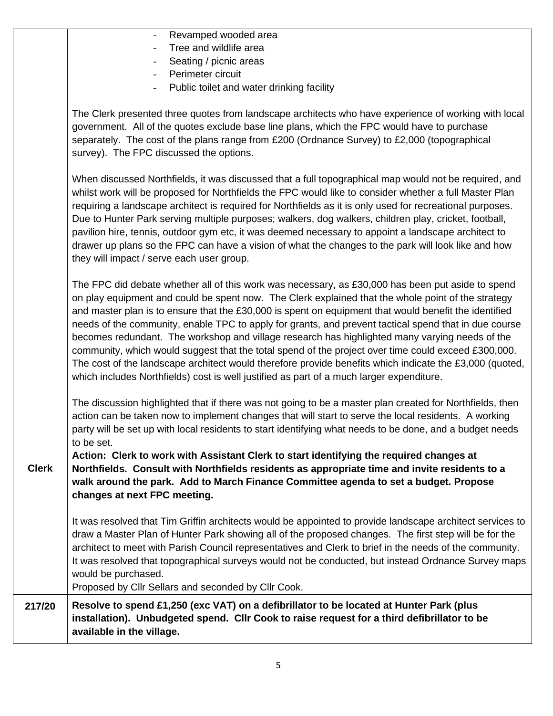|              | Revamped wooded area                                                                                                                                                                                                                                                                                                                                                                                                                                                                                                                                                                                                                                                                                                                                                                                                                      |
|--------------|-------------------------------------------------------------------------------------------------------------------------------------------------------------------------------------------------------------------------------------------------------------------------------------------------------------------------------------------------------------------------------------------------------------------------------------------------------------------------------------------------------------------------------------------------------------------------------------------------------------------------------------------------------------------------------------------------------------------------------------------------------------------------------------------------------------------------------------------|
|              | Tree and wildlife area                                                                                                                                                                                                                                                                                                                                                                                                                                                                                                                                                                                                                                                                                                                                                                                                                    |
|              | Seating / picnic areas                                                                                                                                                                                                                                                                                                                                                                                                                                                                                                                                                                                                                                                                                                                                                                                                                    |
|              | Perimeter circuit                                                                                                                                                                                                                                                                                                                                                                                                                                                                                                                                                                                                                                                                                                                                                                                                                         |
|              | Public toilet and water drinking facility                                                                                                                                                                                                                                                                                                                                                                                                                                                                                                                                                                                                                                                                                                                                                                                                 |
|              | The Clerk presented three quotes from landscape architects who have experience of working with local<br>government. All of the quotes exclude base line plans, which the FPC would have to purchase<br>separately. The cost of the plans range from £200 (Ordnance Survey) to £2,000 (topographical<br>survey). The FPC discussed the options.                                                                                                                                                                                                                                                                                                                                                                                                                                                                                            |
|              | When discussed Northfields, it was discussed that a full topographical map would not be required, and<br>whilst work will be proposed for Northfields the FPC would like to consider whether a full Master Plan<br>requiring a landscape architect is required for Northfields as it is only used for recreational purposes.<br>Due to Hunter Park serving multiple purposes; walkers, dog walkers, children play, cricket, football,<br>pavilion hire, tennis, outdoor gym etc, it was deemed necessary to appoint a landscape architect to<br>drawer up plans so the FPC can have a vision of what the changes to the park will look like and how<br>they will impact / serve each user group.                                                                                                                                          |
|              | The FPC did debate whether all of this work was necessary, as £30,000 has been put aside to spend<br>on play equipment and could be spent now. The Clerk explained that the whole point of the strategy<br>and master plan is to ensure that the £30,000 is spent on equipment that would benefit the identified<br>needs of the community, enable TPC to apply for grants, and prevent tactical spend that in due course<br>becomes redundant. The workshop and village research has highlighted many varying needs of the<br>community, which would suggest that the total spend of the project over time could exceed £300,000.<br>The cost of the landscape architect would therefore provide benefits which indicate the £3,000 (quoted,<br>which includes Northfields) cost is well justified as part of a much larger expenditure. |
|              | The discussion highlighted that if there was not going to be a master plan created for Northfields, then<br>action can be taken now to implement changes that will start to serve the local residents. A working<br>party will be set up with local residents to start identifying what needs to be done, and a budget needs<br>to be set.                                                                                                                                                                                                                                                                                                                                                                                                                                                                                                |
| <b>Clerk</b> | Action: Clerk to work with Assistant Clerk to start identifying the required changes at<br>Northfields. Consult with Northfields residents as appropriate time and invite residents to a<br>walk around the park. Add to March Finance Committee agenda to set a budget. Propose<br>changes at next FPC meeting.                                                                                                                                                                                                                                                                                                                                                                                                                                                                                                                          |
|              | It was resolved that Tim Griffin architects would be appointed to provide landscape architect services to<br>draw a Master Plan of Hunter Park showing all of the proposed changes. The first step will be for the<br>architect to meet with Parish Council representatives and Clerk to brief in the needs of the community.<br>It was resolved that topographical surveys would not be conducted, but instead Ordnance Survey maps<br>would be purchased.<br>Proposed by Cllr Sellars and seconded by Cllr Cook.                                                                                                                                                                                                                                                                                                                        |
| 217/20       | Resolve to spend £1,250 (exc VAT) on a defibrillator to be located at Hunter Park (plus<br>installation). Unbudgeted spend. Cllr Cook to raise request for a third defibrillator to be<br>available in the village.                                                                                                                                                                                                                                                                                                                                                                                                                                                                                                                                                                                                                       |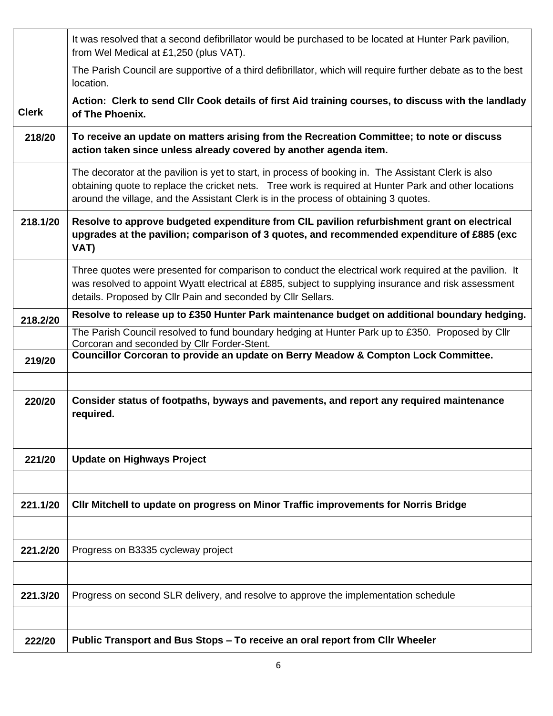|              | It was resolved that a second defibrillator would be purchased to be located at Hunter Park pavilion,<br>from Wel Medical at £1,250 (plus VAT).                                                                                                                                                       |
|--------------|-------------------------------------------------------------------------------------------------------------------------------------------------------------------------------------------------------------------------------------------------------------------------------------------------------|
|              | The Parish Council are supportive of a third defibrillator, which will require further debate as to the best<br>location.                                                                                                                                                                             |
| <b>Clerk</b> | Action: Clerk to send Cllr Cook details of first Aid training courses, to discuss with the landlady<br>of The Phoenix.                                                                                                                                                                                |
| 218/20       | To receive an update on matters arising from the Recreation Committee; to note or discuss<br>action taken since unless already covered by another agenda item.                                                                                                                                        |
|              | The decorator at the pavilion is yet to start, in process of booking in. The Assistant Clerk is also<br>obtaining quote to replace the cricket nets. Tree work is required at Hunter Park and other locations<br>around the village, and the Assistant Clerk is in the process of obtaining 3 quotes. |
| 218.1/20     | Resolve to approve budgeted expenditure from CIL pavilion refurbishment grant on electrical<br>upgrades at the pavilion; comparison of 3 quotes, and recommended expenditure of £885 (exc<br>VAT)                                                                                                     |
|              | Three quotes were presented for comparison to conduct the electrical work required at the pavilion. It<br>was resolved to appoint Wyatt electrical at £885, subject to supplying insurance and risk assessment<br>details. Proposed by Cllr Pain and seconded by Cllr Sellars.                        |
| 218.2/20     | Resolve to release up to £350 Hunter Park maintenance budget on additional boundary hedging.                                                                                                                                                                                                          |
|              | The Parish Council resolved to fund boundary hedging at Hunter Park up to £350. Proposed by Cllr<br>Corcoran and seconded by Cllr Forder-Stent.                                                                                                                                                       |
| 219/20       | Councillor Corcoran to provide an update on Berry Meadow & Compton Lock Committee.                                                                                                                                                                                                                    |
| 220/20       | Consider status of footpaths, byways and pavements, and report any required maintenance<br>required.                                                                                                                                                                                                  |
|              |                                                                                                                                                                                                                                                                                                       |
| 221/20       | <b>Update on Highways Project</b>                                                                                                                                                                                                                                                                     |
|              |                                                                                                                                                                                                                                                                                                       |
| 221.1/20     | CIIr Mitchell to update on progress on Minor Traffic improvements for Norris Bridge                                                                                                                                                                                                                   |
|              |                                                                                                                                                                                                                                                                                                       |
| 221.2/20     | Progress on B3335 cycleway project                                                                                                                                                                                                                                                                    |
|              |                                                                                                                                                                                                                                                                                                       |
| 221.3/20     | Progress on second SLR delivery, and resolve to approve the implementation schedule                                                                                                                                                                                                                   |
|              |                                                                                                                                                                                                                                                                                                       |
| 222/20       | Public Transport and Bus Stops – To receive an oral report from Cllr Wheeler                                                                                                                                                                                                                          |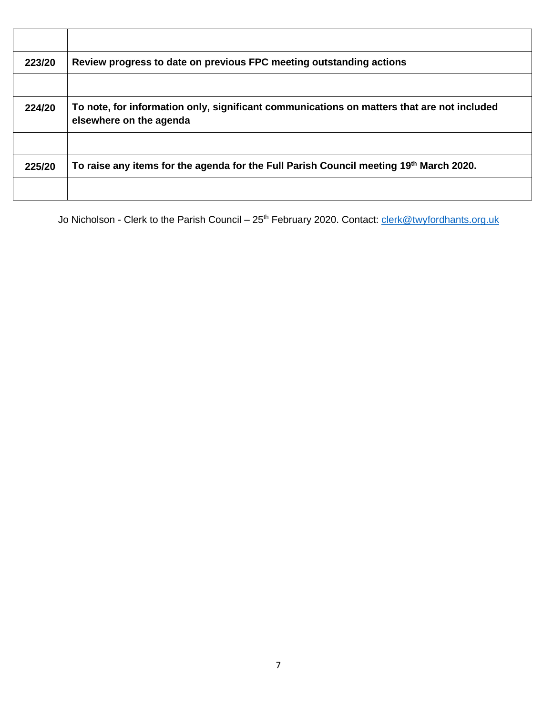| Review progress to date on previous FPC meeting outstanding actions                                                   |
|-----------------------------------------------------------------------------------------------------------------------|
| To note, for information only, significant communications on matters that are not included<br>elsewhere on the agenda |
| To raise any items for the agenda for the Full Parish Council meeting 19th March 2020.                                |
|                                                                                                                       |

Jo Nicholson - Clerk to the Parish Council – 25<sup>th</sup> February 2020. Contact: *clerk@twyfordhants.org.uk*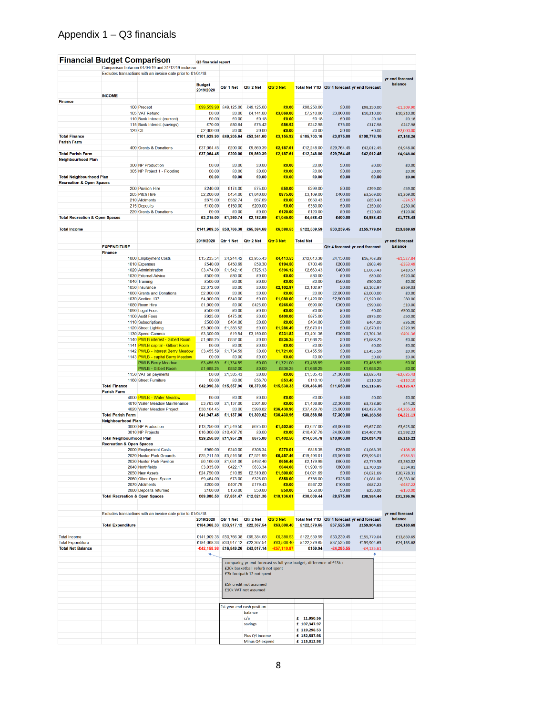## Appendix 1 – Q3 financials

| <b>Financial Budget Comparison</b>         |                                           |                                                              | Q3 financial report      |                         |                                                |                          |                                                                     |                        |                                                             |                              |
|--------------------------------------------|-------------------------------------------|--------------------------------------------------------------|--------------------------|-------------------------|------------------------------------------------|--------------------------|---------------------------------------------------------------------|------------------------|-------------------------------------------------------------|------------------------------|
|                                            |                                           | Comparison between 01/04/19 and 31/12/19 inclusive           |                          |                         |                                                |                          |                                                                     |                        |                                                             |                              |
|                                            |                                           | Excludes transactions with an invoice date prior to 01/04/18 |                          |                         |                                                |                          |                                                                     |                        |                                                             | yr end forecast              |
|                                            |                                           |                                                              | <b>Budget</b>            | Qtr 1 Net               | Qtr 2 Net                                      | Qtr 3 Net                |                                                                     |                        | Total Net YTD Qtr 4 forecast yr end forecast                | balance                      |
|                                            |                                           |                                                              | 2019/2020                |                         |                                                |                          |                                                                     |                        |                                                             |                              |
| <b>Finance</b>                             | <b>INCOME</b>                             |                                                              |                          |                         |                                                |                          |                                                                     |                        |                                                             |                              |
|                                            |                                           | 100 Precept                                                  |                          | $£99,559.90$ £49,125.00 | £49,125.00                                     | £0.00                    | £98,250.00                                                          | £0.00                  | £98,250.00                                                  | $-£1,309.90$                 |
|                                            |                                           | 105 VAT Refund                                               | £0.00                    | £0.00                   | £4,141.00                                      | £3,069.00                | £7,210.00                                                           | £3,000.00              | £10,210.00                                                  | £10,210.00                   |
|                                            |                                           | 110 Bank Interest (current)                                  | £0.00                    | £0.00                   | £0.18                                          | £0.00                    | £0.18                                                               | £0.00                  | £0.18                                                       | £0.18                        |
|                                            |                                           | 115 Bank Interest (savings)                                  | £70.00                   | £80.64                  | £75.42                                         | £86.92                   | £242.98                                                             | £75.00                 | £317.98                                                     | £247.98                      |
|                                            |                                           | <b>120 CIL</b>                                               | £2,000.00                | £0.00                   | £0.00                                          | £0.00                    | £0.00                                                               | £0.00                  | £0.00                                                       | $-E2,000.00$                 |
| <b>Total Finance</b><br><b>Parish Farm</b> |                                           |                                                              |                          | £101,629.90 £49,205.64  | £53,341.60                                     | £3,155.92                | £105,703.16                                                         | £3,075.00              | £108,778.16                                                 | £7,148.26                    |
|                                            |                                           | 400 Grants & Donations                                       | £37,064.45               | £200.00                 | £9,860.39                                      | £2,187.61                | £12,248.00                                                          | £29,764.45             | £42,012.45                                                  | £4,948,00                    |
| <b>Total Parish Farm</b>                   |                                           |                                                              | £37,064.45               | £200.00                 | £9,860.39                                      | £2,187.61                | £12,248.00                                                          | £29,764.45             | £42,012.45                                                  | £4,948.00                    |
| <b>Neighbourhood Plan</b>                  |                                           |                                                              |                          |                         |                                                |                          |                                                                     |                        |                                                             |                              |
|                                            |                                           | 300 NP Production                                            | £0.00                    | £0.00                   | £0.00                                          | £0.00                    | £0.00                                                               | £0.00                  | £0.00                                                       | £0.00                        |
| <b>Total Neighbourhood Plan</b>            |                                           | 305 NP Project 1 - Flooding                                  | £0.00<br>£0.00           | £0.00<br>£0.00          | £0.00<br>£0.00                                 | £0.00<br>£0.00           | £0.00<br>£0.00                                                      | £0.00<br>£0.00         | £0.00<br>£0.00                                              | £0.00<br>£0.00               |
| <b>Recreation &amp; Open Spaces</b>        |                                           |                                                              |                          |                         |                                                |                          |                                                                     |                        |                                                             |                              |
|                                            |                                           | 200 Pavilion Hire                                            | £240.00                  | £174.00                 | £75.00                                         | £50.00                   | £299.00                                                             | £0.00                  | £299.00                                                     | £59.00                       |
|                                            |                                           | 205 Pitch Hire                                               | £2,200.00                | £454.00                 | £1,840.00                                      | £875.00                  | £3,169.00                                                           | £400.00                | £3,569.00                                                   | £1,369.00                    |
|                                            |                                           | 210 Allotments                                               | £675.00                  | £582.74                 | £67.69                                         | £0.00                    | £650.43                                                             | £0.00                  | £650.43                                                     | $-£24.57$                    |
|                                            |                                           | 215 Deposits                                                 | £100.00                  | £150.00                 | £200.00                                        | £0.00                    | £350.00                                                             | £0.00                  | £350.00                                                     | £250.00                      |
| <b>Total Recreation &amp; Open Spaces</b>  |                                           | 220 Grants & Donations                                       | £0.00<br>£3,215.00       | £0.00<br>£1,360.74      | £0.00<br>£2,182.69                             | £120.00<br>£1,045.00     | £120.00<br>£4,588.43                                                | £0.00<br>£400.00       | £120.00<br>£4,988.43                                        | £120.00<br>£1,773.43         |
|                                            |                                           |                                                              |                          |                         |                                                |                          |                                                                     |                        |                                                             |                              |
| <b>Total Income</b>                        |                                           |                                                              | £141,909.35 £50,766.38   |                         | £65,384.68                                     | £6,388.53                | £122,539.59                                                         | £33,239.45             | £155,779.04                                                 | £13,869.69                   |
|                                            |                                           |                                                              |                          |                         |                                                |                          |                                                                     |                        |                                                             |                              |
|                                            |                                           |                                                              | 2019/2020                | Qtr 1 Net               | Qtr 2 Net                                      | Qtr 3 Net                | <b>Total Net</b>                                                    |                        |                                                             | yr end forecast              |
|                                            | <b>EXPENDITURE</b><br><b>Finance</b>      |                                                              |                          |                         |                                                |                          |                                                                     |                        | Qtr 4 forecast yr end forecast                              | balance                      |
|                                            |                                           | 1000 Employment Costs                                        | £15,235.54               | £4,244.42               | £3,955.43                                      | £4,413.53                | £12,613.38                                                          | £4,150.00              | £16,763.38                                                  | $-£1,527.84$                 |
|                                            |                                           | 1010 Expenses                                                | £540.00                  | £450.69                 | £58.30                                         | £194.50                  | £703.49                                                             | £200.00                | £903.49                                                     | $-6363.49$                   |
|                                            |                                           | 1020 Administration                                          | £3,474.00                | £1.542.18               | £725.13                                        | £396.12                  | £2.663.43                                                           | £400.00                | £3,063.43                                                   | £410.57                      |
|                                            |                                           | 1030 External Advice                                         | £500.00                  | £80.00                  | £0.00                                          | £0.00                    | £80.00                                                              | £0.00                  | £80.00                                                      | £420.00                      |
|                                            |                                           | 1040 Training                                                | £500.00                  | £0.00                   | £0.00                                          | £0.00                    | £0.00                                                               | £500.00                | £500.00                                                     | £0.00                        |
|                                            |                                           | 1050 Insurance<br>1060 Grants and Donations                  | £2,372.00<br>£2,000.00   | £0.00<br>£0.00          | £0.00<br>£0.00                                 | £2,102.97<br>£0.00       | £2,102.97<br>£0.00                                                  | £0.00<br>£2,000.00     | £2,102.97<br>£2,000.00                                      | £269.03<br>£0.00             |
|                                            |                                           | <b>1070 Section 137</b>                                      | £4,000.00                | £340.00                 | £0.00                                          | £1,080.00                | £1,420.00                                                           | £2,500.00              | £3,920.00                                                   | £80.00                       |
|                                            |                                           | 1080 Room Hire                                               | £1,000.00                | £0.00                   | £425.00                                        | £265.00                  | £690.00                                                             | £300.00                | £990.00                                                     | £10.00                       |
|                                            |                                           | 1090 Legal Fees                                              | £500.00                  | £0.00                   | £0.00                                          | £0.00                    | £0.00                                                               | £0.00                  | £0.00                                                       | £500.00                      |
|                                            |                                           | 1100 Audit Fees                                              | £925.00                  | £475.00                 | £0.00                                          | £400.00                  | £875.00                                                             | £0.00                  | £875.00                                                     | £50.00                       |
|                                            |                                           | 1110 Subscriptions                                           | £500.00                  | £464.00                 | £0.00                                          | £0.00                    | £464.00                                                             | £0.00                  | £464.00                                                     | £36.00                       |
|                                            |                                           | 1120 Street Lighting<br>1130 Speed Camera                    | £3,000.00<br>£3,300.00   | £1,383.52<br>£19.54     | £0.00<br>£3,150.00                             | £1,286.49<br>£231.82     | £2,670.01<br>£3,401.36                                              | £0.00<br>£300.00       | £2,670.01<br>£3,701.36                                      | £329.99<br>$-£401.36$        |
|                                            |                                           | 1140 PWLB interest - Gilbert Room                            | £1,688.25                | £852.00                 | £0.00                                          | £836.25                  | £1,688.25                                                           | £0.00                  | £1,688.25                                                   | £0.00                        |
|                                            |                                           | 1141 PWLB capital - Gilbert Room                             | £0.00                    | £0.00                   | £0.00                                          | £0.00                    | £0.00                                                               | £0.00                  | £0.00                                                       | £0.00                        |
|                                            |                                           | 1142 PWLB - interest Berry Meadow                            | £3,455.59                | £1,734.59               | £0.00                                          | £1,721.00                | £3,455.59                                                           | £0.00                  | £3,455.59                                                   | £0.00                        |
|                                            |                                           | 1143 PWLB - capital Berry Meadow                             | £0.00                    | £0.00                   | £0.00                                          | £0.00                    | £0.00                                                               | £0.00                  | £0.00                                                       | £0.00                        |
|                                            |                                           | <b>PWLB Berry Meadow</b>                                     | £3,455.59                | £1,734.59               | £0.00                                          | £1,721.00                | £3,455.59                                                           | £0.00                  | £3,455.59                                                   | £0.00                        |
|                                            |                                           | <b>PWLB - Gilbert Room</b><br>1150 VAT on payments           | £1,688.25<br>£0.00       | £852.00<br>£1,385.43    | £0.00<br>£0.00                                 | £836.25<br>£0.00         | £1,688.25<br>£1,385.43                                              | £0.00<br>£1,300.00     | £1,688.25<br>£2,685.43                                      | £0.00<br>$-E2,685.43$        |
|                                            |                                           | 1160 Street Furniture                                        | £0.00                    | £0.00                   | £56.70                                         | £53.40                   | £110.10                                                             | £0.00                  | £110.10                                                     | $-£110.10$                   |
|                                            | <b>Total Finance</b>                      |                                                              |                          | £42,990.38 £15,557.96   | £8,370.56                                      | £15,538.33               | £39,466.85                                                          | £11,650.00             | £51,116.85                                                  | $-£8,126.47$                 |
|                                            | <b>Parish Farm</b>                        |                                                              |                          |                         |                                                |                          |                                                                     |                        |                                                             |                              |
|                                            |                                           | 4000 PWLB - Water Meadow                                     | £0.00                    | £0.00                   | £0.00                                          | £0.00                    | £0.00                                                               | £0.00                  | £0.00                                                       | £0.00                        |
|                                            |                                           | 4010 Water Meadow Maintenance                                | £3,783.00                | £1,137.00               | £301.80                                        | £0.00                    | £1,438.80                                                           | £2,300.00              | £3,738.80                                                   | £44.20                       |
|                                            | <b>Total Parish Farm</b>                  | 4020 Water Meadow Project                                    | £38,164.45<br>£41,947.45 | £0.00<br>£1,137.00      | £998.82<br>£1,300.62                           | £36,430.96<br>£36,430.96 | £37,429.78<br>£38,868.58                                            | £5,000.00<br>£7,300.00 | £42,429.78<br>£46,168.58                                    | $-£4,265.33$<br>$-£4,221.13$ |
|                                            | <b>Neighbourhood Plan</b>                 |                                                              |                          |                         |                                                |                          |                                                                     |                        |                                                             |                              |
|                                            |                                           | 3000 NP Production                                           | £13,250.00               | £1,549.50               | £675.00                                        | £1,402.50                | £3,627.00                                                           | £6,000.00              | £9,627.00                                                   | £3,623.00                    |
|                                            |                                           | 3010 NP Projects                                             |                          | £16,000.00 £10,407.78   | £0.00                                          | £0.00                    | £10,407.78                                                          | £4,000.00              | £14,407.78                                                  | £1,592.22                    |
|                                            | <b>Total Neighbourhood Plan</b>           |                                                              |                          | £29,250.00 £11,957.28   | £675.00                                        | £1,402.50                | £14,034.78                                                          | £10,000.00             | £24,034.78                                                  | £5,215.22                    |
|                                            | <b>Recreation &amp; Open Spaces</b>       |                                                              |                          |                         |                                                |                          |                                                                     |                        |                                                             |                              |
|                                            |                                           | 2000 Employment Costs<br>2020 Hunter Park Grounds            | £960.00<br>£25,211.50    | £240.00<br>£5,516.56    | £308.34<br>£7,521.99                           | £270.01<br>£6,457.46     | £818.35<br>£19,496.01                                               | £250.00<br>£6,500.00   | £1,068.35<br>£25,996.01                                     | $-£108.35$<br>$-£784.51$     |
|                                            |                                           | 2030 Hunter Park Pavilion                                    |                          | £6,160.00 £1,031.06     | £492.46                                        | £656.46                  | £2,179.98                                                           | £600.00                | £2,779.98                                                   | £3,380.02                    |
|                                            |                                           | 2040 Northfields                                             | £3,035.00                | £422.17                 | £633.34                                        | £844.68                  | £1,900.19                                                           | £800.00                | £2,700.19                                                   | £334.81                      |
|                                            |                                           | 2050 New Assets                                              | £24,750.00               | £10.89                  | £2,510.80                                      | £1,500.00                | £4,021.69                                                           | £0.00                  | £4,021.69                                                   | £20,728.31                   |
|                                            |                                           | 2060 Other Open Space                                        | £9,464.00                | £73.00                  | £325.00                                        | £358.00                  | £756.00                                                             | £325.00                | £1,081.00                                                   | £8,383.00                    |
|                                            |                                           | 2070 Allotments<br>2080 Deposits returned                    | £200.00<br>£100.00       | £407.79<br>£150.00      | £179.43<br>£50.00                              | £0.00<br>£50.00          | £587.22<br>£250.00                                                  | £100.00<br>£0.00       | £687.22<br>£250.00                                          | $-£487.22$<br>$-£150.00$     |
|                                            | <b>Total Recreation &amp; Open Spaces</b> |                                                              | £69,880.50               |                         | £7,851.47 £12,021.36                           | £10,136.61               | £30,009.44                                                          | £8,575.00              | £38,584.44                                                  | £31,296.06                   |
|                                            |                                           |                                                              |                          |                         |                                                |                          |                                                                     |                        |                                                             |                              |
|                                            |                                           |                                                              |                          |                         |                                                |                          |                                                                     |                        |                                                             |                              |
|                                            |                                           | Excludes transactions with an invoice date prior to 01/04/18 |                          |                         |                                                |                          |                                                                     |                        |                                                             | yr end forecast              |
|                                            | <b>Total Expenditure</b>                  |                                                              | 2019/2020 Qtr 1 Net      |                         | Qtr 2 Net<br>£184,068.33 £33,917.12 £22,367.54 | Qtr 3 Net<br>£63,508.40  | £122,379.65                                                         | £37,525.00             | Total Net YTD Qtr 4 forecast yr end forecast<br>£159,904.65 | balance<br>£24,163.68        |
|                                            |                                           |                                                              |                          |                         |                                                |                          |                                                                     |                        |                                                             |                              |
| <b>Total Income</b>                        |                                           |                                                              |                          |                         | £141,909.35 £50,766.38 £65,384.68              | £6,388.53                | £122,539.59                                                         | £33,239.45             | £155,779.04                                                 | £13,869.69                   |
| <b>Total Expenditure</b>                   |                                           |                                                              |                          |                         | £184.068.33 £33.917.12 £22.367.54              | £63,508.40               | £122,379.65                                                         | £37,525.00             | £159,904.65                                                 | £24,163.68                   |
| <b>Total Net Balance</b>                   |                                           |                                                              |                          |                         | -£42,158.98 £16,849.26 £43,017.14              | $-£57,119.87$            | £159.94                                                             | $-£4,285.55$           | $-£4,125.61$                                                |                              |
|                                            |                                           |                                                              |                          |                         |                                                |                          |                                                                     |                        |                                                             |                              |
|                                            |                                           |                                                              |                          |                         |                                                |                          | comparing yr end forecast vs full year budget, difference of £43k : |                        |                                                             |                              |
|                                            |                                           |                                                              |                          |                         | £20k basketball refurb not spent               |                          |                                                                     |                        |                                                             |                              |
|                                            |                                           |                                                              |                          |                         | £7k footpath 12 not spent                      |                          |                                                                     |                        |                                                             |                              |
|                                            |                                           |                                                              |                          |                         | £5k credit not assumed                         |                          |                                                                     |                        |                                                             |                              |
|                                            |                                           |                                                              |                          |                         | £10k VAT not assumed                           |                          |                                                                     |                        |                                                             |                              |
|                                            |                                           |                                                              |                          |                         |                                                |                          |                                                                     |                        |                                                             |                              |
|                                            |                                           |                                                              |                          |                         |                                                |                          |                                                                     |                        |                                                             |                              |
|                                            |                                           |                                                              |                          |                         | Est year end cash position<br>balance          |                          |                                                                     |                        |                                                             |                              |
|                                            |                                           |                                                              |                          |                         | c/a                                            |                          | £ 11,950.56                                                         |                        |                                                             |                              |
|                                            |                                           |                                                              |                          |                         | savings                                        |                          | £ 107,347.97                                                        |                        |                                                             |                              |
|                                            |                                           |                                                              |                          |                         |                                                |                          | £ 119,298.53                                                        |                        |                                                             |                              |
|                                            |                                           |                                                              |                          |                         | Plus Q4 income                                 |                          | £ 152,537.98                                                        |                        |                                                             |                              |
|                                            |                                           |                                                              |                          |                         | Minus Q4 expend                                |                          | £ 115,012.98                                                        |                        |                                                             |                              |